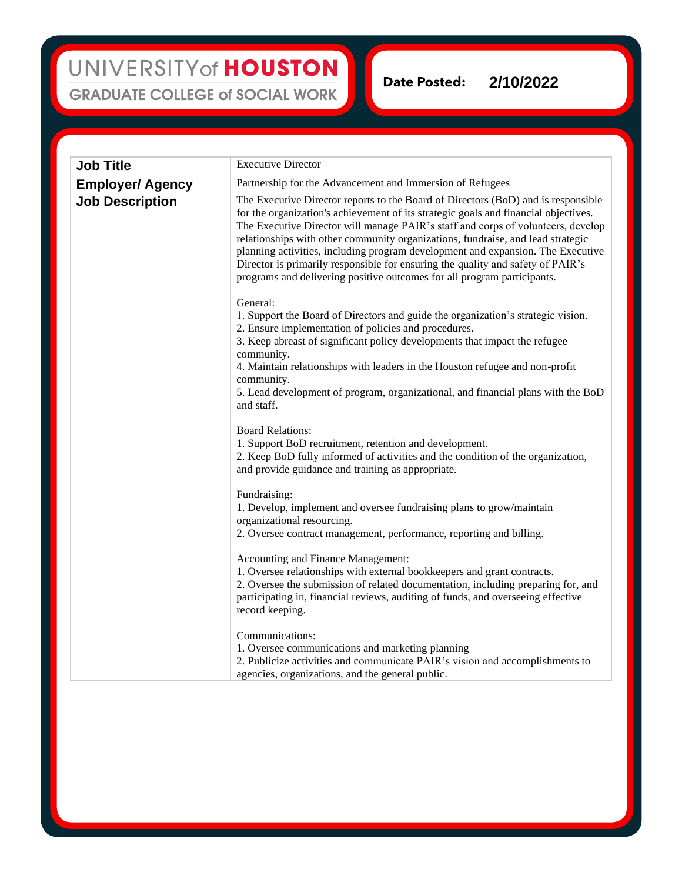## UNIVERSITY of HOUSTON **GRADUATE COLLEGE of SOCIAL WORK**

**Date Posted: 2/10/2022**

| <b>Job Title</b>        | <b>Executive Director</b>                                                                                                                                                                                                                                                                                                                                                                                                                                                                                                                                                                        |
|-------------------------|--------------------------------------------------------------------------------------------------------------------------------------------------------------------------------------------------------------------------------------------------------------------------------------------------------------------------------------------------------------------------------------------------------------------------------------------------------------------------------------------------------------------------------------------------------------------------------------------------|
| <b>Employer/ Agency</b> | Partnership for the Advancement and Immersion of Refugees                                                                                                                                                                                                                                                                                                                                                                                                                                                                                                                                        |
| <b>Job Description</b>  | The Executive Director reports to the Board of Directors (BoD) and is responsible<br>for the organization's achievement of its strategic goals and financial objectives.<br>The Executive Director will manage PAIR's staff and corps of volunteers, develop<br>relationships with other community organizations, fundraise, and lead strategic<br>planning activities, including program development and expansion. The Executive<br>Director is primarily responsible for ensuring the quality and safety of PAIR's<br>programs and delivering positive outcomes for all program participants. |
|                         | General:<br>1. Support the Board of Directors and guide the organization's strategic vision.<br>2. Ensure implementation of policies and procedures.<br>3. Keep abreast of significant policy developments that impact the refugee<br>community.<br>4. Maintain relationships with leaders in the Houston refugee and non-profit<br>community.<br>5. Lead development of program, organizational, and financial plans with the BoD<br>and staff.                                                                                                                                                 |
|                         | <b>Board Relations:</b><br>1. Support BoD recruitment, retention and development.<br>2. Keep BoD fully informed of activities and the condition of the organization,<br>and provide guidance and training as appropriate.                                                                                                                                                                                                                                                                                                                                                                        |
|                         | Fundraising:<br>1. Develop, implement and oversee fundraising plans to grow/maintain<br>organizational resourcing.<br>2. Oversee contract management, performance, reporting and billing.                                                                                                                                                                                                                                                                                                                                                                                                        |
|                         | Accounting and Finance Management:<br>1. Oversee relationships with external bookkeepers and grant contracts.<br>2. Oversee the submission of related documentation, including preparing for, and<br>participating in, financial reviews, auditing of funds, and overseeing effective<br>record keeping.                                                                                                                                                                                                                                                                                         |
|                         | Communications:<br>1. Oversee communications and marketing planning<br>2. Publicize activities and communicate PAIR's vision and accomplishments to<br>agencies, organizations, and the general public.                                                                                                                                                                                                                                                                                                                                                                                          |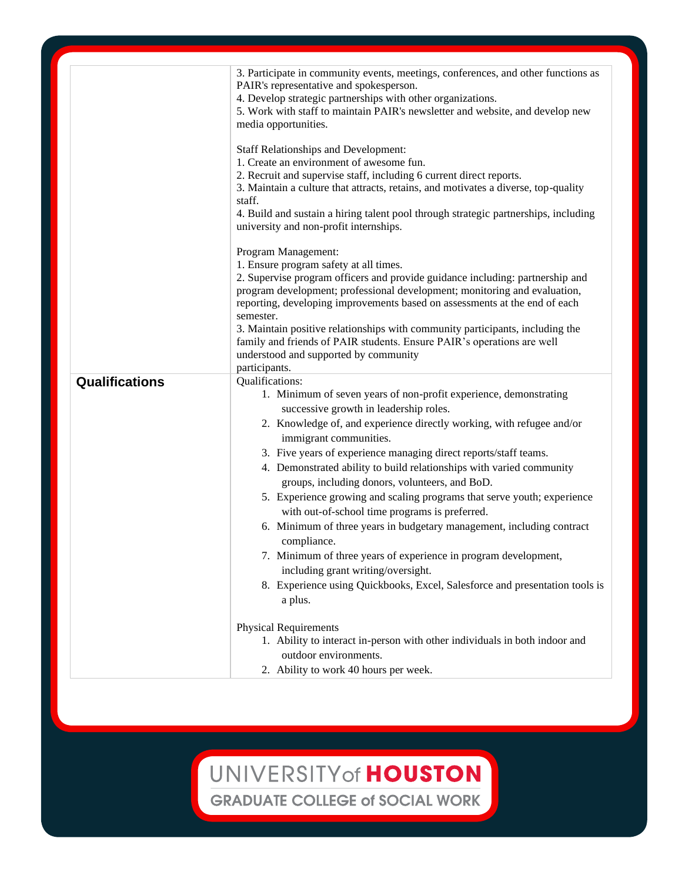|                       | 3. Participate in community events, meetings, conferences, and other functions as<br>PAIR's representative and spokesperson.<br>4. Develop strategic partnerships with other organizations.<br>5. Work with staff to maintain PAIR's newsletter and website, and develop new<br>media opportunities.<br><b>Staff Relationships and Development:</b><br>1. Create an environment of awesome fun.<br>2. Recruit and supervise staff, including 6 current direct reports.<br>3. Maintain a culture that attracts, retains, and motivates a diverse, top-quality<br>staff.<br>4. Build and sustain a hiring talent pool through strategic partnerships, including<br>university and non-profit internships.                                                                                                                                                 |
|-----------------------|---------------------------------------------------------------------------------------------------------------------------------------------------------------------------------------------------------------------------------------------------------------------------------------------------------------------------------------------------------------------------------------------------------------------------------------------------------------------------------------------------------------------------------------------------------------------------------------------------------------------------------------------------------------------------------------------------------------------------------------------------------------------------------------------------------------------------------------------------------|
|                       | Program Management:<br>1. Ensure program safety at all times.<br>2. Supervise program officers and provide guidance including: partnership and<br>program development; professional development; monitoring and evaluation,<br>reporting, developing improvements based on assessments at the end of each<br>semester.<br>3. Maintain positive relationships with community participants, including the<br>family and friends of PAIR students. Ensure PAIR's operations are well<br>understood and supported by community<br>participants.                                                                                                                                                                                                                                                                                                             |
| <b>Qualifications</b> | Qualifications:<br>1. Minimum of seven years of non-profit experience, demonstrating<br>successive growth in leadership roles.<br>2. Knowledge of, and experience directly working, with refugee and/or<br>immigrant communities.<br>3. Five years of experience managing direct reports/staff teams.<br>4. Demonstrated ability to build relationships with varied community<br>groups, including donors, volunteers, and BoD.<br>5. Experience growing and scaling programs that serve youth; experience<br>with out-of-school time programs is preferred.<br>6. Minimum of three years in budgetary management, including contract<br>compliance.<br>7. Minimum of three years of experience in program development,<br>including grant writing/oversight.<br>8. Experience using Quickbooks, Excel, Salesforce and presentation tools is<br>a plus. |
|                       | <b>Physical Requirements</b><br>1. Ability to interact in-person with other individuals in both indoor and<br>outdoor environments.<br>2. Ability to work 40 hours per week.                                                                                                                                                                                                                                                                                                                                                                                                                                                                                                                                                                                                                                                                            |

UNIVERSITY of HOUSTON

**GRADUATE COLLEGE of SOCIAL WORK**